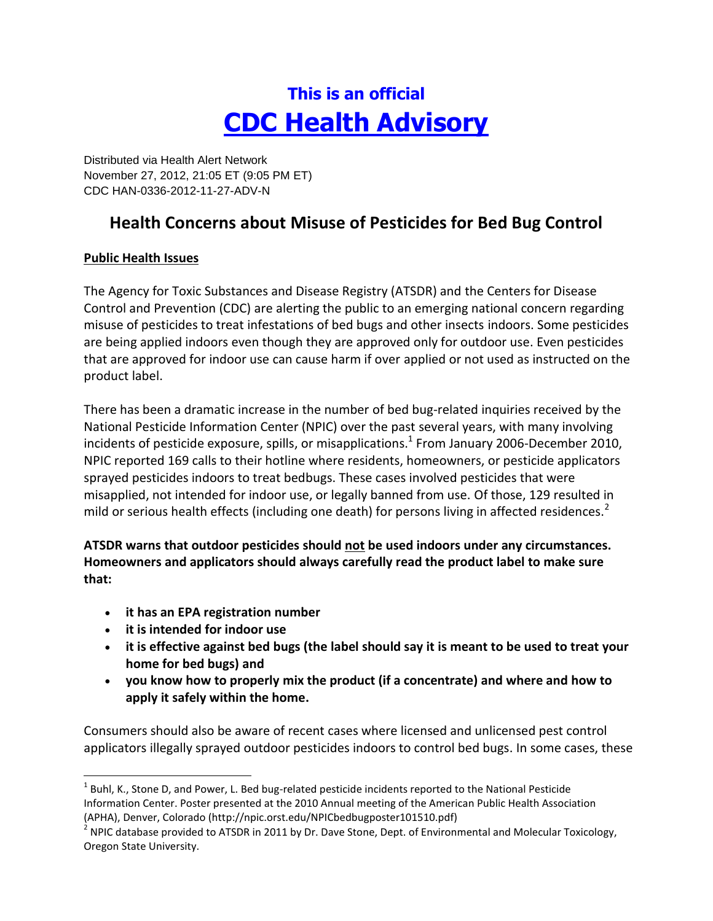# **This is an official CDC Health Advisory**

Distributed via Health Alert Network November 27, 2012, 21:05 ET (9:05 PM ET) CDC HAN-0336-2012-11-27-ADV-N

# **Health Concerns about Misuse of Pesticides for Bed Bug Control**

# **Public Health Issues**

The Agency for Toxic Substances and Disease Registry (ATSDR) and the Centers for Disease Control and Prevention (CDC) are alerting the public to an emerging national concern regarding misuse of pesticides to treat infestations of bed bugs and other insects indoors. Some pesticides are being applied indoors even though they are approved only for outdoor use. Even pesticides that are approved for indoor use can cause harm if over applied or not used as instructed on the product label.

There has been a dramatic increase in the number of bed bug-related inquiries received by the National Pesticide Information Center (NPIC) over the past several years, with many involving incidents of pesticide exposure, spills, or misapplications.<sup>1</sup> From January 2006-December 2010, NPIC reported 169 calls to their hotline where residents, homeowners, or pesticide applicators sprayed pesticides indoors to treat bedbugs. These cases involved pesticides that were misapplied, not intended for indoor use, or legally banned from use. Of those, 129 resulted in mild or serious health effects (including one death) for persons living in affected residences.<sup>2</sup>

**ATSDR warns that outdoor pesticides should not be used indoors under any circumstances. Homeowners and applicators should always carefully read the product label to make sure that:** 

- **it has an EPA registration number**
- **it is intended for indoor use**

 $\overline{\phantom{a}}$ 

- **it is effective against bed bugs (the label should say it is meant to be used to treat your home for bed bugs) and**
- **you know how to properly mix the product (if a concentrate) and where and how to apply it safely within the home.**

Consumers should also be aware of recent cases where licensed and unlicensed pest control applicators illegally sprayed outdoor pesticides indoors to control bed bugs. In some cases, these

 $^{1}$  Buhl, K., Stone D, and Power, L. Bed bug-related pesticide incidents reported to the National Pesticide Information Center. Poster presented at the 2010 Annual meeting of the American Public Health Association

<sup>(</sup>APHA), Denver, Colorado (http://npic.orst.edu/NPICbedbugposter101510.pdf)<br><sup>2</sup> NPIC database provided to ATSDR in 2011 by Dr. Dave Stone, Dept. of Environmental and Molecular Toxicology, Oregon State University.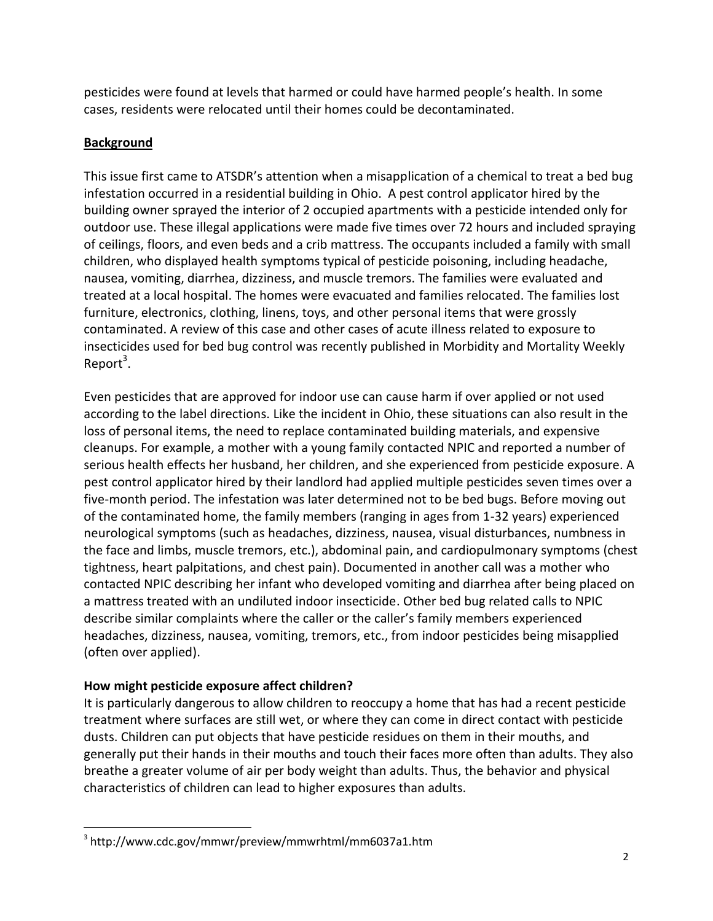pesticides were found at levels that harmed or could have harmed people's health. In some cases, residents were relocated until their homes could be decontaminated.

# **Background**

This issue first came to ATSDR's attention when a misapplication of a chemical to treat a bed bug infestation occurred in a residential building in Ohio. A pest control applicator hired by the building owner sprayed the interior of 2 occupied apartments with a pesticide intended only for outdoor use. These illegal applications were made five times over 72 hours and included spraying of ceilings, floors, and even beds and a crib mattress. The occupants included a family with small children, who displayed health symptoms typical of pesticide poisoning, including headache, nausea, vomiting, diarrhea, dizziness, and muscle tremors. The families were evaluated and treated at a local hospital. The homes were evacuated and families relocated. The families lost furniture, electronics, clothing, linens, toys, and other personal items that were grossly contaminated. A review of this case and other cases of acute illness related to exposure to insecticides used for bed bug control was recently published in Morbidity and Mortality Weekly Report<sup>3</sup>.

Even pesticides that are approved for indoor use can cause harm if over applied or not used according to the label directions. Like the incident in Ohio, these situations can also result in the loss of personal items, the need to replace contaminated building materials, and expensive cleanups. For example, a mother with a young family contacted NPIC and reported a number of serious health effects her husband, her children, and she experienced from pesticide exposure. A pest control applicator hired by their landlord had applied multiple pesticides seven times over a five-month period. The infestation was later determined not to be bed bugs. Before moving out of the contaminated home, the family members (ranging in ages from 1-32 years) experienced neurological symptoms (such as headaches, dizziness, nausea, visual disturbances, numbness in the face and limbs, muscle tremors, etc.), abdominal pain, and cardiopulmonary symptoms (chest tightness, heart palpitations, and chest pain). Documented in another call was a mother who contacted NPIC describing her infant who developed vomiting and diarrhea after being placed on a mattress treated with an undiluted indoor insecticide. Other bed bug related calls to NPIC describe similar complaints where the caller or the caller's family members experienced headaches, dizziness, nausea, vomiting, tremors, etc., from indoor pesticides being misapplied (often over applied).

# **How might pesticide exposure affect children?**

It is particularly dangerous to allow children to reoccupy a home that has had a recent pesticide treatment where surfaces are still wet, or where they can come in direct contact with pesticide dusts. Children can put objects that have pesticide residues on them in their mouths, and generally put their hands in their mouths and touch their faces more often than adults. They also breathe a greater volume of air per body weight than adults. Thus, the behavior and physical characteristics of children can lead to higher exposures than adults.

 3 http://www.cdc.gov/mmwr/preview/mmwrhtml/mm6037a1.htm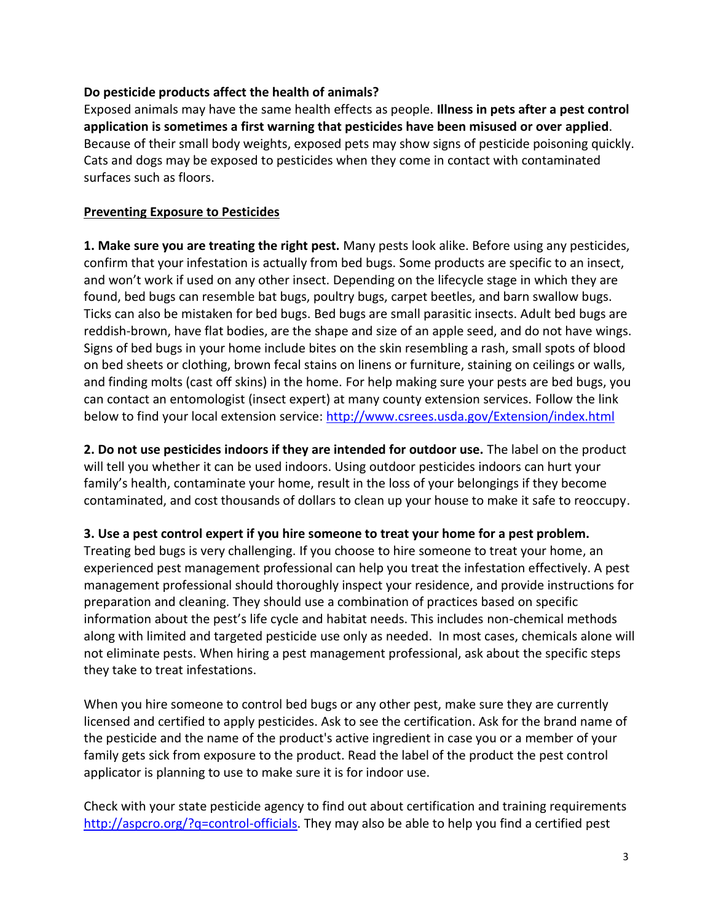### **Do pesticide products affect the health of animals?**

Exposed animals may have the same health effects as people. **Illness in pets after a pest control application is sometimes a first warning that pesticides have been misused or over applied**. Because of their small body weights, exposed pets may show signs of pesticide poisoning quickly. Cats and dogs may be exposed to pesticides when they come in contact with contaminated surfaces such as floors.

### **Preventing Exposure to Pesticides**

**1. Make sure you are treating the right pest.** Many pests look alike. Before using any pesticides, confirm that your infestation is actually from bed bugs. Some products are specific to an insect, and won't work if used on any other insect. Depending on the lifecycle stage in which they are found, bed bugs can resemble bat bugs, poultry bugs, carpet beetles, and barn swallow bugs. Ticks can also be mistaken for bed bugs. Bed bugs are small parasitic insects. Adult bed bugs are reddish-brown, have flat bodies, are the shape and size of an apple seed, and do not have wings. Signs of bed bugs in your home include bites on the skin resembling a rash, small spots of blood on bed sheets or clothing, brown fecal stains on linens or furniture, staining on ceilings or walls, and finding molts (cast off skins) in the home. For help making sure your pests are bed bugs, you can contact an entomologist (insect expert) at many county extension services. Follow the link below to find your local extension service:<http://www.csrees.usda.gov/Extension/index.html>

**2. Do not use pesticides indoors if they are intended for outdoor use.** The label on the product will tell you whether it can be used indoors. Using outdoor pesticides indoors can hurt your family's health, contaminate your home, result in the loss of your belongings if they become contaminated, and cost thousands of dollars to clean up your house to make it safe to reoccupy.

# **3. Use a pest control expert if you hire someone to treat your home for a pest problem.**

Treating bed bugs is very challenging. If you choose to hire someone to treat your home, an experienced pest management professional can help you treat the infestation effectively. A pest management professional should thoroughly inspect your residence, and provide instructions for preparation and cleaning. They should use a combination of practices based on specific information about the pest's life cycle and habitat needs. This includes non-chemical methods along with limited and targeted pesticide use only as needed. In most cases, chemicals alone will not eliminate pests. When hiring a pest management professional, ask about the specific steps they take to treat infestations.

When you hire someone to control bed bugs or any other pest, make sure they are currently licensed and certified to apply pesticides. Ask to see the certification. Ask for the brand name of the pesticide and the name of the product's active ingredient in case you or a member of your family gets sick from exposure to the product. Read the label of the product the pest control applicator is planning to use to make sure it is for indoor use.

Check with your state pesticide agency to find out about certification and training requirements http://aspcro.org/?q=control-officials</u>. They may also be able to help you find a certified pest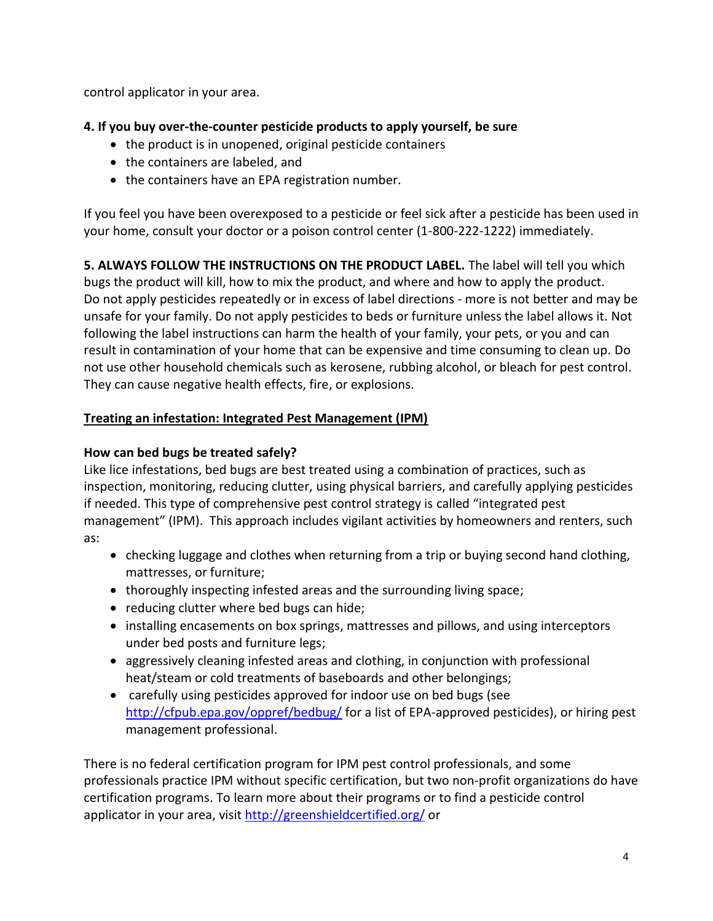control applicator in your area.

# **4. If you buy over-the-counter pesticide products to apply yourself, be sure**

- the product is in unopened, original pesticide containers
- the containers are labeled, and
- the containers have an EPA registration number.

If you feel you have been overexposed to a pesticide or feel sick after a pesticide has been used in your home, consult your doctor or a poison control center (1-800-222-1222) immediately.

**5. ALWAYS FOLLOW THE INSTRUCTIONS ON THE PRODUCT LABEL.** The label will tell you which bugs the product will kill, how to mix the product, and where and how to apply the product. Do not apply pesticides repeatedly or in excess of label directions - more is not better and may be unsafe for your family. Do not apply pesticides to beds or furniture unless the label allows it. Not following the label instructions can harm the health of your family, your pets, or you and can result in contamination of your home that can be expensive and time consuming to clean up. Do not use other household chemicals such as kerosene, rubbing alcohol, or bleach for pest control. They can cause negative health effects, fire, or explosions.

# **Treating an infestation: Integrated Pest Management (IPM)**

# **How can bed bugs be treated safely?**

Like lice infestations, bed bugs are best treated using a combination of practices, such as inspection, monitoring, reducing clutter, using physical barriers, and carefully applying pesticides if needed. This type of comprehensive pest control strategy is called "integrated pest management" (IPM). This approach includes vigilant activities by homeowners and renters, such as:

- checking luggage and clothes when returning from a trip or buying second hand clothing, mattresses, or furniture;
- thoroughly inspecting infested areas and the surrounding living space;
- reducing clutter where bed bugs can hide;
- installing encasements on box springs, mattresses and pillows, and using interceptors under bed posts and furniture legs;
- aggressively cleaning infested areas and clothing, in conjunction with professional heat/steam or cold treatments of baseboards and other belongings;
- carefully using pesticides approved for indoor use on bed bugs (see <http://cfpub.epa.gov/oppref/bedbug/> for a list of EPA-approved pesticides), or hiring pest management professional.

There is no federal certification program for IPM pest control professionals, and some professionals practice IPM without specific certification, but two non-profit organizations do have certification programs. To learn more about their programs or to find a pesticide control applicator in your area, visit<http://greenshieldcertified.org/> or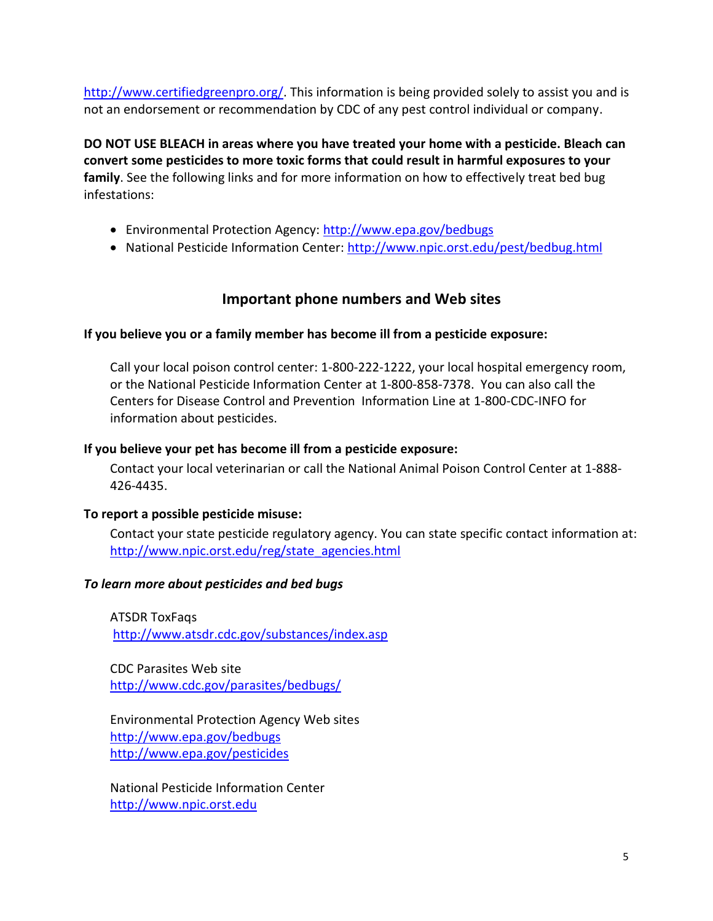[http://www.certifiedgreenpro.org/.](http://www.certifiedgreenpro.org/) This information is being provided solely to assist you and is not an endorsement or recommendation by CDC of any pest control individual or company.

**DO NOT USE BLEACH in areas where you have treated your home with a pesticide. Bleach can convert some pesticides to more toxic forms that could result in harmful exposures to your family**. See the following links and for more information on how to effectively treat bed bug infestations:

- Environmental Protection Agency:<http://www.epa.gov/bedbugs>
- National Pesticide Information Center:<http://www.npic.orst.edu/pest/bedbug.html>

# **Important phone numbers and Web sites**

### **If you believe you or a family member has become ill from a pesticide exposure:**

Call your local poison control center: 1-800-222-1222, your local hospital emergency room, or the National Pesticide Information Center at 1-800-858-7378. You can also call the Centers for Disease Control and Prevention Information Line at 1-800-CDC-INFO for information about pesticides.

#### **If you believe your pet has become ill from a pesticide exposure:**

Contact your local veterinarian or call the National Animal Poison Control Center at 1-888- 426-4435.

#### **To report a possible pesticide misuse:**

Contact your state pesticide regulatory agency. You can state specific contact information at: [http://www.npic.orst.edu/reg/state\\_agencies.html](http://www.npic.orst.edu/reg/state_agencies.html) 

#### *To learn more about pesticides and bed bugs*

ATSDR ToxFaqs [http://www.atsdr.cdc.gov/substances/index.asp](http://www.atsdr.cdc.gov/substances/toxsubstance.asp?toxid=92)

CDC Parasites Web site <http://www.cdc.gov/parasites/bedbugs/>

Environmental Protection Agency Web sites <http://www.epa.gov/bedbugs> <http://www.epa.gov/pesticides>

National Pesticide Information Center [http://www.npic.orst.edu](http://www.npic.orst.edu/)